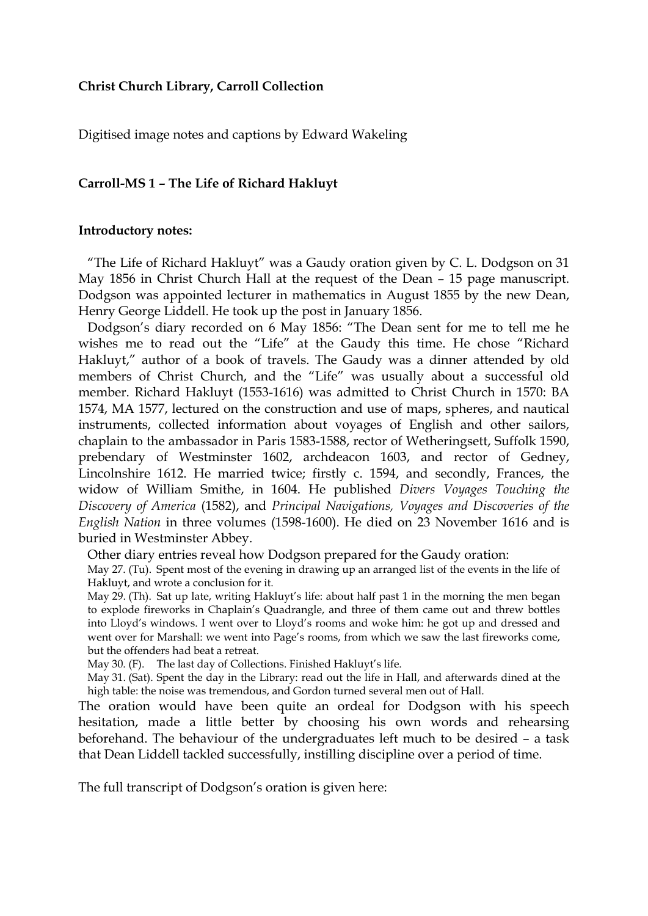## **Christ Church Library, Carroll Collection**

Digitised image notes and captions by Edward Wakeling

## **Carroll-MS 1 – The Life of Richard Hakluyt**

## **Introductory notes:**

 "The Life of Richard Hakluyt" was a Gaudy oration given by C. L. Dodgson on 31 May 1856 in Christ Church Hall at the request of the Dean – 15 page manuscript. Dodgson was appointed lecturer in mathematics in August 1855 by the new Dean, Henry George Liddell. He took up the post in January 1856.

 Dodgson's diary recorded on 6 May 1856: "The Dean sent for me to tell me he wishes me to read out the "Life" at the Gaudy this time. He chose "Richard Hakluyt," author of a book of travels. The Gaudy was a dinner attended by old members of Christ Church, and the "Life" was usually about a successful old member. Richard Hakluyt (1553-1616) was admitted to Christ Church in 1570: BA 1574, MA 1577, lectured on the construction and use of maps, spheres, and nautical instruments, collected information about voyages of English and other sailors, chaplain to the ambassador in Paris 1583-1588, rector of Wetheringsett, Suffolk 1590, prebendary of Westminster 1602, archdeacon 1603, and rector of Gedney, Lincolnshire 1612. He married twice; firstly c. 1594, and secondly, Frances, the widow of William Smithe, in 1604. He published *Divers Voyages Touching the Discovery of America* (1582), and *Principal Navigations, Voyages and Discoveries of the English Nation* in three volumes (1598-1600). He died on 23 November 1616 and is buried in Westminster Abbey.

Other diary entries reveal how Dodgson prepared for the Gaudy oration:

May 27. (Tu). Spent most of the evening in drawing up an arranged list of the events in the life of Hakluyt, and wrote a conclusion for it.

May 29. (Th). Sat up late, writing Hakluyt's life: about half past 1 in the morning the men began to explode fireworks in Chaplain's Quadrangle, and three of them came out and threw bottles into Lloyd's windows. I went over to Lloyd's rooms and woke him: he got up and dressed and went over for Marshall: we went into Page's rooms, from which we saw the last fireworks come, but the offenders had beat a retreat.

May 30. (F). The last day of Collections. Finished Hakluyt's life.

May 31. (Sat). Spent the day in the Library: read out the life in Hall, and afterwards dined at the high table: the noise was tremendous, and Gordon turned several men out of Hall.

The oration would have been quite an ordeal for Dodgson with his speech hesitation, made a little better by choosing his own words and rehearsing beforehand. The behaviour of the undergraduates left much to be desired – a task that Dean Liddell tackled successfully, instilling discipline over a period of time.

The full transcript of Dodgson's oration is given here: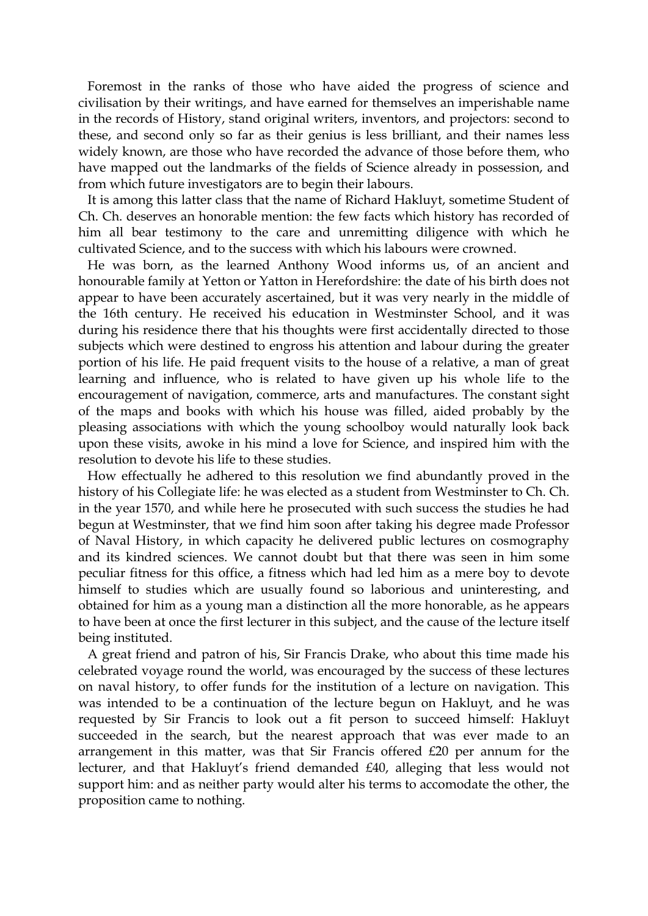Foremost in the ranks of those who have aided the progress of science and civilisation by their writings, and have earned for themselves an imperishable name in the records of History, stand original writers, inventors, and projectors: second to these, and second only so far as their genius is less brilliant, and their names less widely known, are those who have recorded the advance of those before them, who have mapped out the landmarks of the fields of Science already in possession, and from which future investigators are to begin their labours.

 It is among this latter class that the name of Richard Hakluyt, sometime Student of Ch. Ch. deserves an honorable mention: the few facts which history has recorded of him all bear testimony to the care and unremitting diligence with which he cultivated Science, and to the success with which his labours were crowned.

 He was born, as the learned Anthony Wood informs us, of an ancient and honourable family at Yetton or Yatton in Herefordshire: the date of his birth does not appear to have been accurately ascertained, but it was very nearly in the middle of the 16th century. He received his education in Westminster School, and it was during his residence there that his thoughts were first accidentally directed to those subjects which were destined to engross his attention and labour during the greater portion of his life. He paid frequent visits to the house of a relative, a man of great learning and influence, who is related to have given up his whole life to the encouragement of navigation, commerce, arts and manufactures. The constant sight of the maps and books with which his house was filled, aided probably by the pleasing associations with which the young schoolboy would naturally look back upon these visits, awoke in his mind a love for Science, and inspired him with the resolution to devote his life to these studies.

 How effectually he adhered to this resolution we find abundantly proved in the history of his Collegiate life: he was elected as a student from Westminster to Ch. Ch. in the year 1570, and while here he prosecuted with such success the studies he had begun at Westminster, that we find him soon after taking his degree made Professor of Naval History, in which capacity he delivered public lectures on cosmography and its kindred sciences. We cannot doubt but that there was seen in him some peculiar fitness for this office, a fitness which had led him as a mere boy to devote himself to studies which are usually found so laborious and uninteresting, and obtained for him as a young man a distinction all the more honorable, as he appears to have been at once the first lecturer in this subject, and the cause of the lecture itself being instituted.

 A great friend and patron of his, Sir Francis Drake, who about this time made his celebrated voyage round the world, was encouraged by the success of these lectures on naval history, to offer funds for the institution of a lecture on navigation. This was intended to be a continuation of the lecture begun on Hakluyt, and he was requested by Sir Francis to look out a fit person to succeed himself: Hakluyt succeeded in the search, but the nearest approach that was ever made to an arrangement in this matter, was that Sir Francis offered £20 per annum for the lecturer, and that Hakluyt's friend demanded £40, alleging that less would not support him: and as neither party would alter his terms to accomodate the other, the proposition came to nothing.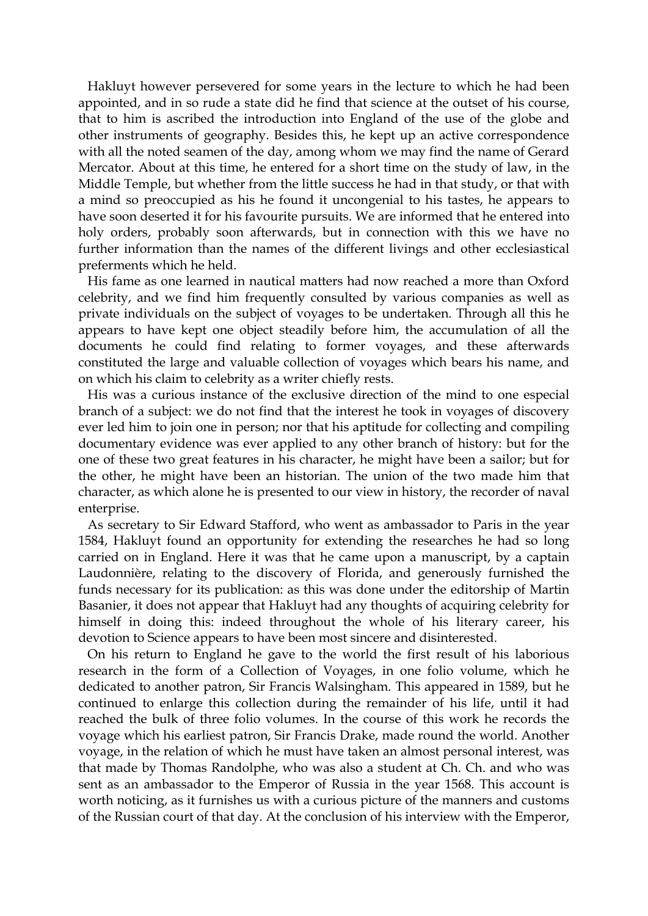Hakluyt however persevered for some years in the lecture to which he had been appointed, and in so rude a state did he find that science at the outset of his course, that to him is ascribed the introduction into England of the use of the globe and other instruments of geography. Besides this, he kept up an active correspondence with all the noted seamen of the day, among whom we may find the name of Gerard Mercator. About at this time, he entered for a short time on the study of law, in the Middle Temple, but whether from the little success he had in that study, or that with a mind so preoccupied as his he found it uncongenial to his tastes, he appears to have soon deserted it for his favourite pursuits. We are informed that he entered into holy orders, probably soon afterwards, but in connection with this we have no further information than the names of the different livings and other ecclesiastical preferments which he held.

 His fame as one learned in nautical matters had now reached a more than Oxford celebrity, and we find him frequently consulted by various companies as well as private individuals on the subject of voyages to be undertaken. Through all this he appears to have kept one object steadily before him, the accumulation of all the documents he could find relating to former voyages, and these afterwards constituted the large and valuable collection of voyages which bears his name, and on which his claim to celebrity as a writer chiefly rests.

 His was a curious instance of the exclusive direction of the mind to one especial branch of a subject: we do not find that the interest he took in voyages of discovery ever led him to join one in person; nor that his aptitude for collecting and compiling documentary evidence was ever applied to any other branch of history: but for the one of these two great features in his character, he might have been a sailor; but for the other, he might have been an historian. The union of the two made him that character, as which alone he is presented to our view in history, the recorder of naval enterprise.

 As secretary to Sir Edward Stafford, who went as ambassador to Paris in the year 1584, Hakluyt found an opportunity for extending the researches he had so long carried on in England. Here it was that he came upon a manuscript, by a captain Laudonnière, relating to the discovery of Florida, and generously furnished the funds necessary for its publication: as this was done under the editorship of Martin Basanier, it does not appear that Hakluyt had any thoughts of acquiring celebrity for himself in doing this: indeed throughout the whole of his literary career, his devotion to Science appears to have been most sincere and disinterested.

 On his return to England he gave to the world the first result of his laborious research in the form of a Collection of Voyages, in one folio volume, which he dedicated to another patron, Sir Francis Walsingham. This appeared in 1589, but he continued to enlarge this collection during the remainder of his life, until it had reached the bulk of three folio volumes. In the course of this work he records the voyage which his earliest patron, Sir Francis Drake, made round the world. Another voyage, in the relation of which he must have taken an almost personal interest, was that made by Thomas Randolphe, who was also a student at Ch. Ch. and who was sent as an ambassador to the Emperor of Russia in the year 1568. This account is worth noticing, as it furnishes us with a curious picture of the manners and customs of the Russian court of that day. At the conclusion of his interview with the Emperor,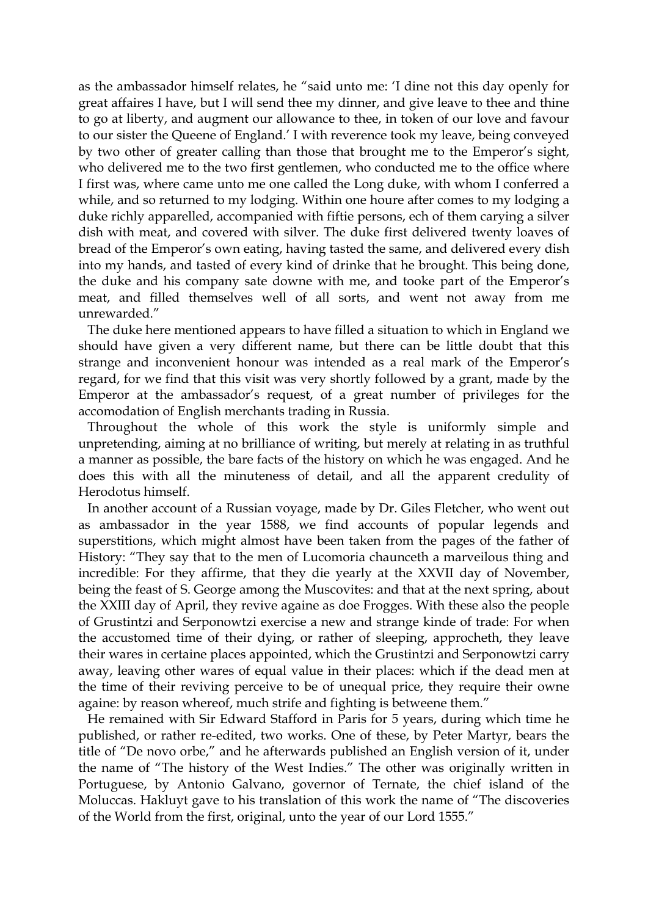as the ambassador himself relates, he "said unto me: 'I dine not this day openly for great affaires I have, but I will send thee my dinner, and give leave to thee and thine to go at liberty, and augment our allowance to thee, in token of our love and favour to our sister the Queene of England.' I with reverence took my leave, being conveyed by two other of greater calling than those that brought me to the Emperor's sight, who delivered me to the two first gentlemen, who conducted me to the office where I first was, where came unto me one called the Long duke, with whom I conferred a while, and so returned to my lodging. Within one houre after comes to my lodging a duke richly apparelled, accompanied with fiftie persons, ech of them carying a silver dish with meat, and covered with silver. The duke first delivered twenty loaves of bread of the Emperor's own eating, having tasted the same, and delivered every dish into my hands, and tasted of every kind of drinke that he brought. This being done, the duke and his company sate downe with me, and tooke part of the Emperor's meat, and filled themselves well of all sorts, and went not away from me unrewarded."

 The duke here mentioned appears to have filled a situation to which in England we should have given a very different name, but there can be little doubt that this strange and inconvenient honour was intended as a real mark of the Emperor's regard, for we find that this visit was very shortly followed by a grant, made by the Emperor at the ambassador's request, of a great number of privileges for the accomodation of English merchants trading in Russia.

 Throughout the whole of this work the style is uniformly simple and unpretending, aiming at no brilliance of writing, but merely at relating in as truthful a manner as possible, the bare facts of the history on which he was engaged. And he does this with all the minuteness of detail, and all the apparent credulity of Herodotus himself.

 In another account of a Russian voyage, made by Dr. Giles Fletcher, who went out as ambassador in the year 1588, we find accounts of popular legends and superstitions, which might almost have been taken from the pages of the father of History: "They say that to the men of Lucomoria chaunceth a marveilous thing and incredible: For they affirme, that they die yearly at the XXVII day of November, being the feast of S. George among the Muscovites: and that at the next spring, about the XXIII day of April, they revive againe as doe Frogges. With these also the people of Grustintzi and Serponowtzi exercise a new and strange kinde of trade: For when the accustomed time of their dying, or rather of sleeping, approcheth, they leave their wares in certaine places appointed, which the Grustintzi and Serponowtzi carry away, leaving other wares of equal value in their places: which if the dead men at the time of their reviving perceive to be of unequal price, they require their owne againe: by reason whereof, much strife and fighting is betweene them."

 He remained with Sir Edward Stafford in Paris for 5 years, during which time he published, or rather re-edited, two works. One of these, by Peter Martyr, bears the title of "De novo orbe," and he afterwards published an English version of it, under the name of "The history of the West Indies." The other was originally written in Portuguese, by Antonio Galvano, governor of Ternate, the chief island of the Moluccas. Hakluyt gave to his translation of this work the name of "The discoveries of the World from the first, original, unto the year of our Lord 1555."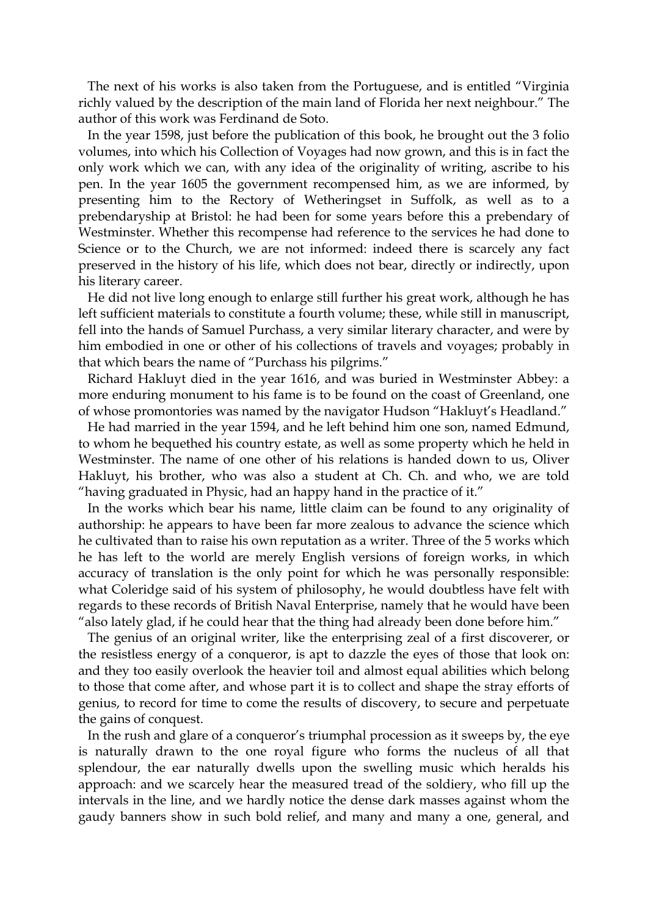The next of his works is also taken from the Portuguese, and is entitled "Virginia richly valued by the description of the main land of Florida her next neighbour." The author of this work was Ferdinand de Soto.

 In the year 1598, just before the publication of this book, he brought out the 3 folio volumes, into which his Collection of Voyages had now grown, and this is in fact the only work which we can, with any idea of the originality of writing, ascribe to his pen. In the year 1605 the government recompensed him, as we are informed, by presenting him to the Rectory of Wetheringset in Suffolk, as well as to a prebendaryship at Bristol: he had been for some years before this a prebendary of Westminster. Whether this recompense had reference to the services he had done to Science or to the Church, we are not informed: indeed there is scarcely any fact preserved in the history of his life, which does not bear, directly or indirectly, upon his literary career.

 He did not live long enough to enlarge still further his great work, although he has left sufficient materials to constitute a fourth volume; these, while still in manuscript, fell into the hands of Samuel Purchass, a very similar literary character, and were by him embodied in one or other of his collections of travels and voyages; probably in that which bears the name of "Purchass his pilgrims."

 Richard Hakluyt died in the year 1616, and was buried in Westminster Abbey: a more enduring monument to his fame is to be found on the coast of Greenland, one of whose promontories was named by the navigator Hudson "Hakluyt's Headland."

 He had married in the year 1594, and he left behind him one son, named Edmund, to whom he bequethed his country estate, as well as some property which he held in Westminster. The name of one other of his relations is handed down to us, Oliver Hakluyt, his brother, who was also a student at Ch. Ch. and who, we are told "having graduated in Physic, had an happy hand in the practice of it."

 In the works which bear his name, little claim can be found to any originality of authorship: he appears to have been far more zealous to advance the science which he cultivated than to raise his own reputation as a writer. Three of the 5 works which he has left to the world are merely English versions of foreign works, in which accuracy of translation is the only point for which he was personally responsible: what Coleridge said of his system of philosophy, he would doubtless have felt with regards to these records of British Naval Enterprise, namely that he would have been "also lately glad, if he could hear that the thing had already been done before him."

 The genius of an original writer, like the enterprising zeal of a first discoverer, or the resistless energy of a conqueror, is apt to dazzle the eyes of those that look on: and they too easily overlook the heavier toil and almost equal abilities which belong to those that come after, and whose part it is to collect and shape the stray efforts of genius, to record for time to come the results of discovery, to secure and perpetuate the gains of conquest.

 In the rush and glare of a conqueror's triumphal procession as it sweeps by, the eye is naturally drawn to the one royal figure who forms the nucleus of all that splendour, the ear naturally dwells upon the swelling music which heralds his approach: and we scarcely hear the measured tread of the soldiery, who fill up the intervals in the line, and we hardly notice the dense dark masses against whom the gaudy banners show in such bold relief, and many and many a one, general, and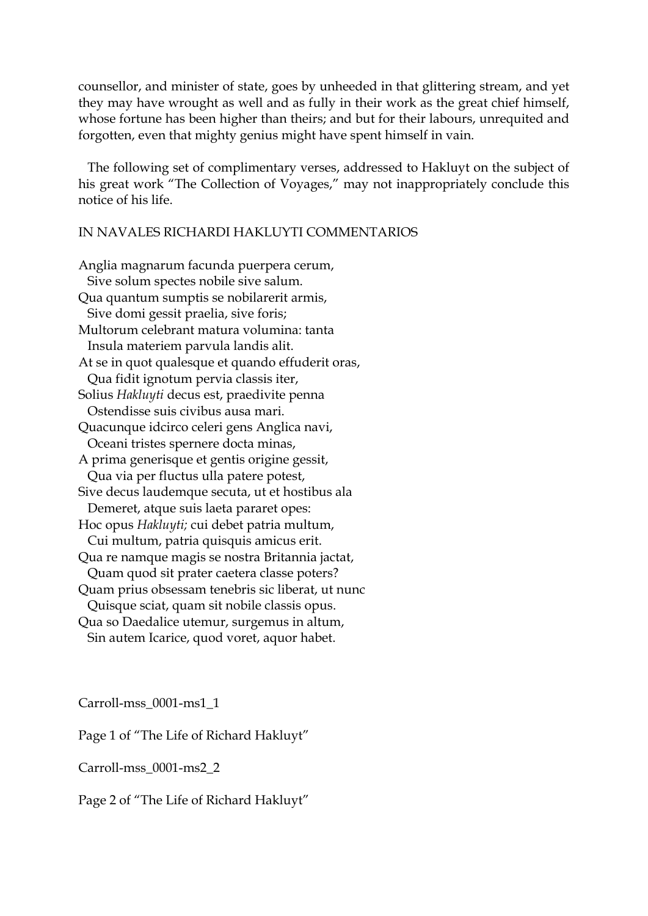counsellor, and minister of state, goes by unheeded in that glittering stream, and yet they may have wrought as well and as fully in their work as the great chief himself, whose fortune has been higher than theirs; and but for their labours, unrequited and forgotten, even that mighty genius might have spent himself in vain.

 The following set of complimentary verses, addressed to Hakluyt on the subject of his great work "The Collection of Voyages," may not inappropriately conclude this notice of his life.

## IN NAVALES RICHARDI HAKLUYTI COMMENTARIOS

Anglia magnarum facunda puerpera cerum, Sive solum spectes nobile sive salum. Qua quantum sumptis se nobilarerit armis, Sive domi gessit praelia, sive foris; Multorum celebrant matura volumina: tanta Insula materiem parvula landis alit. At se in quot qualesque et quando effuderit oras, Qua fidit ignotum pervia classis iter, Solius *Hakluyti* decus est, praedivite penna Ostendisse suis civibus ausa mari. Quacunque idcirco celeri gens Anglica navi, Oceani tristes spernere docta minas, A prima generisque et gentis origine gessit, Qua via per fluctus ulla patere potest, Sive decus laudemque secuta, ut et hostibus ala Demeret, atque suis laeta pararet opes: Hoc opus *Hakluyti;* cui debet patria multum, Cui multum, patria quisquis amicus erit. Qua re namque magis se nostra Britannia jactat, Quam quod sit prater caetera classe poters? Quam prius obsessam tenebris sic liberat, ut nunc Quisque sciat, quam sit nobile classis opus. Qua so Daedalice utemur, surgemus in altum, Sin autem Icarice, quod voret, aquor habet.

Carroll-mss\_0001-ms1\_1

Page 1 of "The Life of Richard Hakluyt"

Carroll-mss\_0001-ms2\_2

Page 2 of "The Life of Richard Hakluyt"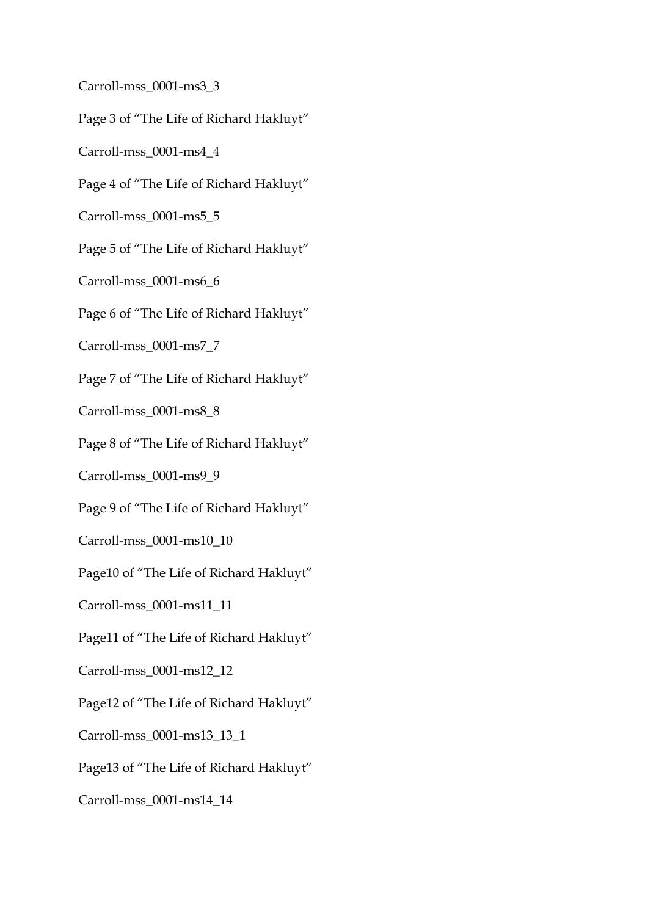Carroll-mss\_0001-ms3\_3 Page 3 of "The Life of Richard Hakluyt" Carroll-mss\_0001-ms4\_4 Page 4 of "The Life of Richard Hakluyt" Carroll-mss\_0001-ms5\_5 Page 5 of "The Life of Richard Hakluyt" Carroll-mss\_0001-ms6\_6 Page 6 of "The Life of Richard Hakluyt" Carroll-mss\_0001-ms7\_7 Page 7 of "The Life of Richard Hakluyt" Carroll-mss\_0001-ms8\_8 Page 8 of "The Life of Richard Hakluyt" Carroll-mss\_0001-ms9\_9 Page 9 of "The Life of Richard Hakluyt" Carroll-mss\_0001-ms10\_10 Page10 of "The Life of Richard Hakluyt" Carroll-mss\_0001-ms11\_11 Page11 of "The Life of Richard Hakluyt" Carroll-mss\_0001-ms12\_12 Page12 of "The Life of Richard Hakluyt" Carroll-mss\_0001-ms13\_13\_1 Page13 of "The Life of Richard Hakluyt" Carroll-mss\_0001-ms14\_14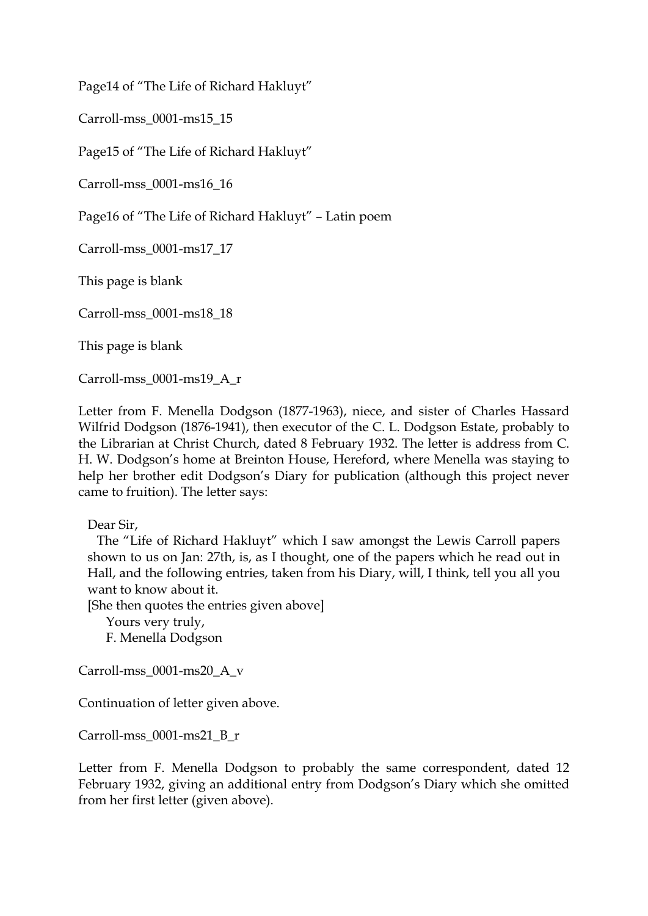Page14 of "The Life of Richard Hakluyt"

Carroll-mss\_0001-ms15\_15

Page15 of "The Life of Richard Hakluyt"

Carroll-mss\_0001-ms16\_16

Page16 of "The Life of Richard Hakluyt" – Latin poem

Carroll-mss\_0001-ms17\_17

This page is blank

Carroll-mss\_0001-ms18\_18

This page is blank

Carroll-mss\_0001-ms19\_A\_r

Letter from F. Menella Dodgson (1877-1963), niece, and sister of Charles Hassard Wilfrid Dodgson (1876-1941), then executor of the C. L. Dodgson Estate, probably to the Librarian at Christ Church, dated 8 February 1932. The letter is address from C. H. W. Dodgson's home at Breinton House, Hereford, where Menella was staying to help her brother edit Dodgson's Diary for publication (although this project never came to fruition). The letter says:

Dear Sir,

 The "Life of Richard Hakluyt" which I saw amongst the Lewis Carroll papers shown to us on Jan: 27th, is, as I thought, one of the papers which he read out in Hall, and the following entries, taken from his Diary, will, I think, tell you all you want to know about it.

[She then quotes the entries given above]

 Yours very truly, F. Menella Dodgson

Carroll-mss\_0001-ms20\_A\_v

Continuation of letter given above.

Carroll-mss\_0001-ms21\_B\_r

Letter from F. Menella Dodgson to probably the same correspondent, dated 12 February 1932, giving an additional entry from Dodgson's Diary which she omitted from her first letter (given above).